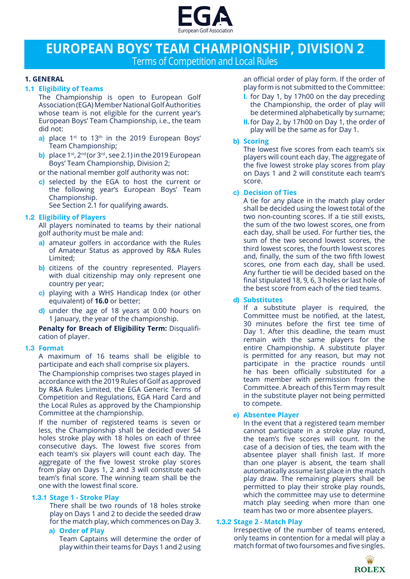

# **EUROPEAN BOYS' TEAM CHAMPIONSHIP, DIVISION 2** Terms of Competition and Local Rules

## **1. GENERAL**

## **1.1 Eligibility of Teams**

The Championship is open to European Golf Association (EGA) Member National Golf Authorities whose team is not eligible for the current year's European Boys' Team Championship, i.e., the team did not:

- **a)** place 1<sup>st</sup> to 13<sup>th</sup> in the 2019 European Boys' Team Championship;
- **b)** place 1<sup>st</sup>, 2<sup>nd</sup> (or 3<sup>rd</sup>, see 2.1) in the 2019 European Boys' Team Championship, Division 2;
- or the national member golf authority was not:
- **c)** selected by the EGA to host the current or the following year's European Boys' Team Championship.
	- See Section 2.1 for qualifying awards.

### **1.2 Eligibility of Players**

All players nominated to teams by their national golf authority must be male and:

- **a)** amateur golfers in accordance with the Rules of Amateur Status as approved by R&A Rules Limited;
- **b)** citizens of the country represented. Players with dual citizenship may only represent one country per year;
- **c)** playing with a WHS Handicap Index (or other equivalent) of **16.0** or better;
- **d)** under the age of 18 years at 0.00 hours on 1 January, the year of the championship.

**Penalty for Breach of Eligibility Term:** Disqualification of player.

### **1.3 Format**

A maximum of 16 teams shall be eligible to participate and each shall comprise six players.

The Championship comprises two stages played in accordance with the 2019 Rules of Golf as approved by R&A Rules Limited, the EGA Generic Terms of Competition and Regulations, EGA Hard Card and the Local Rules as approved by the Championship Committee at the championship.

If the number of registered teams is seven or less, the Championship shall be decided over 54 holes stroke play with 18 holes on each of three consecutive days. The lowest five scores from each team's six players will count each day. The aggregate of the five lowest stroke play scores from play on Days 1, 2 and 3 will constitute each team's final score. The winning team shall be the one with the lowest final score.

### **1.3.1 Stage 1 - Stroke Play**

There shall be two rounds of 18 holes stroke play on Days 1 and 2 to decide the seeded draw for the match play, which commences on Day 3.

**a) Order of Play**

Team Captains will determine the order of play within their teams for Days 1 and 2 using

an official order of play form. If the order of play form is not submitted to the Committee:

- **I.** for Day 1, by 17h00 on the day preceding the Championship, the order of play will be determined alphabetically by surname;
- **II.**for Day 2, by 17h00 on Day 1, the order of play will be the same as for Day 1.

### **b) Scoring**

The lowest five scores from each team's six players will count each day. The aggregate of the five lowest stroke play scores from play on Days 1 and 2 will constitute each team's score.

### **c) Decision of Ties**

A tie for any place in the match play order shall be decided using the lowest total of the two non-counting scores. If a tie still exists, the sum of the two lowest scores, one from each day, shall be used. For further ties, the sum of the two second lowest scores, the third lowest scores, the fourth lowest scores and, finally, the sum of the two fifth lowest scores, one from each day, shall be used. Any further tie will be decided based on the final stipulated 18, 9, 6, 3 holes or last hole of the best score from each of the tied teams.

### **d) Substitutes**

If a substitute player is required, the Committee must be notified, at the latest, 30 minutes before the first tee time of Day 1. After this deadline, the team must remain with the same players for the entire Championship. A substitute player is permitted for any reason, but may not participate in the practice rounds until he has been officially substituted for a team member with permission from the Committee. A breach of this Term may result in the substitute player not being permitted to compete.

### **e) Absentee Player**

In the event that a registered team member cannot participate in a stroke play round, the team's five scores will count. In the case of a decision of ties, the team with the absentee player shall finish last. If more than one player is absent, the team shall automatically assume last place in the match play draw. The remaining players shall be permitted to play their stroke play rounds, which the committee may use to determine match play seeding when more than one team has two or more absentee players.

### **1.3.2 Stage 2 - Match Play**

Irrespective of the number of teams entered, only teams in contention for a medal will play a match format of two foursomes and five singles.

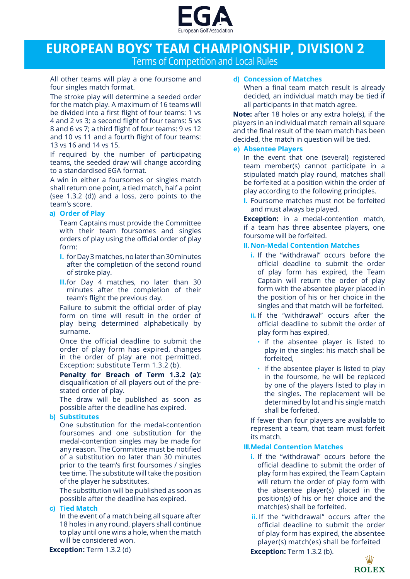

# **EUROPEAN BOYS' TEAM CHAMPIONSHIP, DIVISION 2** Terms of Competition and Local Rules

All other teams will play a one foursome and four singles match format.

The stroke play will determine a seeded order for the match play. A maximum of 16 teams will be divided into a first flight of four teams: 1 vs 4 and 2 vs 3; a second flight of four teams: 5 vs 8 and 6 vs 7; a third flight of four teams: 9 vs 12 and 10 vs 11 and a fourth flight of four teams: 13 vs 16 and 14 vs 15.

If required by the number of participating teams, the seeded draw will change according to a standardised EGA format.

A win in either a foursomes or singles match shall return one point, a tied match, half a point (see 1.3.2 (d)) and a loss, zero points to the team's score.

### **a) Order of Play**

Team Captains must provide the Committee with their team foursomes and singles orders of play using the official order of play form:

- **I.** for Day 3 matches, no later than 30 minutes after the completion of the second round of stroke play.
- **II.**for Day 4 matches, no later than 30 minutes after the completion of their team's flight the previous day.

Failure to submit the official order of play form on time will result in the order of play being determined alphabetically by surname.

Once the official deadline to submit the order of play form has expired, changes in the order of play are not permitted. Exception: substitute Term 1.3.2 (b).

**Penalty for Breach of Term 1.3.2 (a):**  disqualification of all players out of the prestated order of play.

The draw will be published as soon as possible after the deadline has expired.

## **b) Substitutes**

One substitution for the medal-contention foursomes and one substitution for the medal-contention singles may be made for any reason. The Committee must be notified of a substitution no later than 30 minutes prior to the team's first foursomes / singles tee time. The substitute will take the position of the player he substitutes.

The substitution will be published as soon as possible after the deadline has expired.

### **c) Tied Match**

In the event of a match being all square after 18 holes in any round, players shall continue to play until one wins a hole, when the match will be considered won.

**Exception:** Term 1.3.2 (d)

#### **d) Concession of Matches**

When a final team match result is already decided, an individual match may be tied if all participants in that match agree.

**Note:** after 18 holes or any extra hole(s), if the players in an individual match remain all square and the final result of the team match has been decided, the match in question will be tied.

#### **e) Absentee Players**

In the event that one (several) registered team member(s) cannot participate in a stipulated match play round, matches shall be forfeited at a position within the order of play according to the following principles.

**I.** Foursome matches must not be forfeited and must always be played.

**Exception:** in a medal-contention match, if a team has three absentee players, one foursome will be forfeited.

## **II.Non-Medal Contention Matches**

- **i.** If the "withdrawal" occurs before the official deadline to submit the order of play form has expired, the Team Captain will return the order of play form with the absentee player placed in the position of his or her choice in the singles and that match will be forfeited.
- **ii.** If the "withdrawal" occurs after the official deadline to submit the order of play form has expired,
	- **•**  if the absentee player is listed to play in the singles: his match shall be forfeited,
	- if the absentee player is listed to play in the foursome, he will be replaced by one of the players listed to play in the singles. The replacement will be determined by lot and his single match shall be forfeited.

If fewer than four players are available to represent a team, that team must forfeit its match.

### **III.Medal Contention Matches**

- **i.** If the "withdrawal" occurs before the official deadline to submit the order of play form has expired, the Team Captain will return the order of play form with the absentee player(s) placed in the position(s) of his or her choice and the match(es) shall be forfeited.
- **ii.** If the "withdrawal" occurs after the official deadline to submit the order of play form has expired, the absentee player(s) match(es) shall be forfeited

**Exception:** Term 1.3.2 (b).